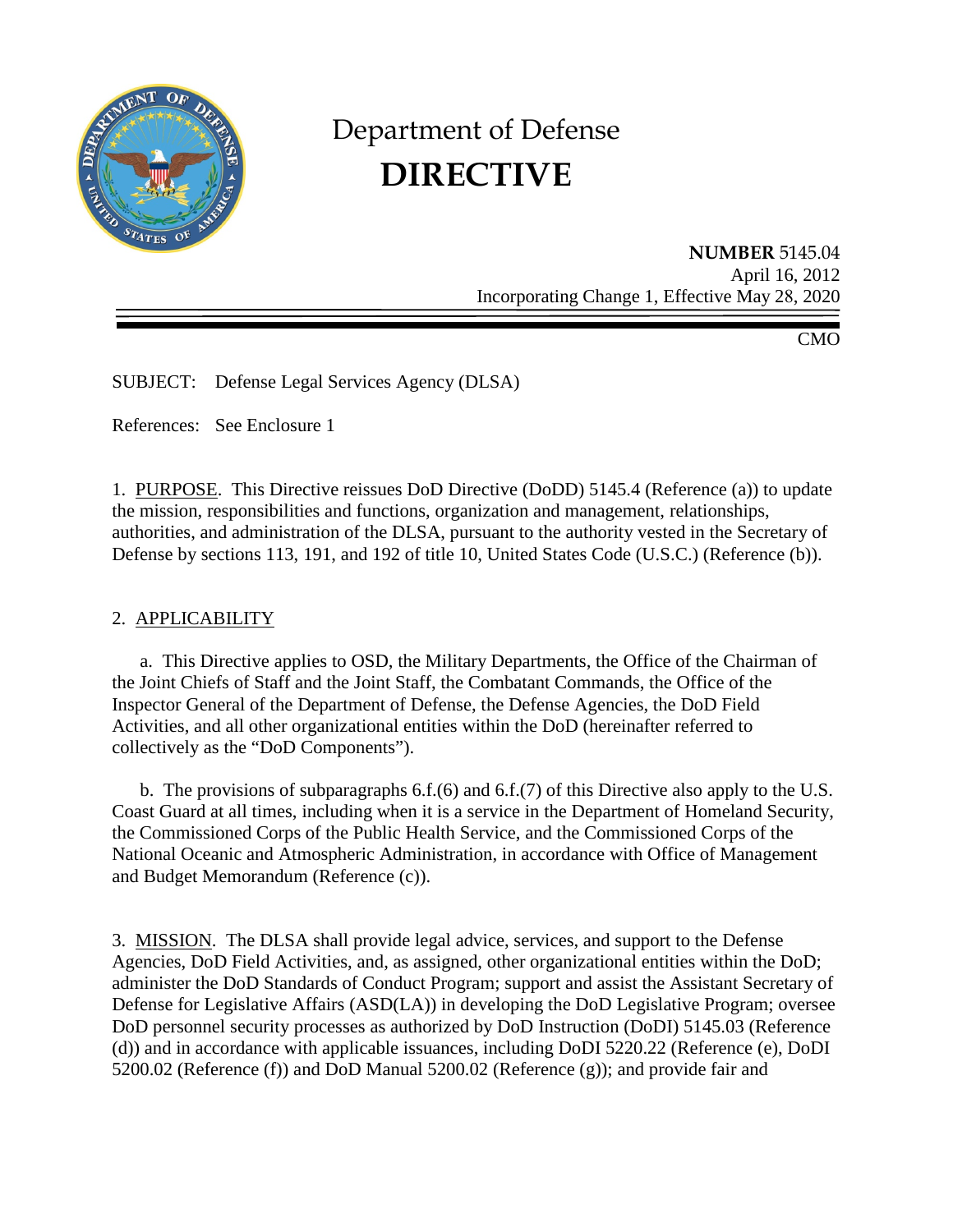

# Department of Defense **DIRECTIVE**

**NUMBER** 5145.04 April 16, 2012 Incorporating Change 1, Effective May 28, 2020

CMO

SUBJECT: Defense Legal Services Agency (DLSA)

References: See Enclosure 1

1. PURPOSE. This Directive reissues DoD Directive (DoDD) 5145.4 (Reference (a)) to update the mission, responsibilities and functions, organization and management, relationships, authorities, and administration of the DLSA, pursuant to the authority vested in the Secretary of Defense by sections 113, 191, and 192 of title 10, United States Code (U.S.C.) (Reference (b)).

### 2. APPLICABILITY

a. This Directive applies to OSD, the Military Departments, the Office of the Chairman of the Joint Chiefs of Staff and the Joint Staff, the Combatant Commands, the Office of the Inspector General of the Department of Defense, the Defense Agencies, the DoD Field Activities, and all other organizational entities within the DoD (hereinafter referred to collectively as the "DoD Components").

b. The provisions of subparagraphs 6.f.(6) and 6.f.(7) of this Directive also apply to the U.S. Coast Guard at all times, including when it is a service in the Department of Homeland Security, the Commissioned Corps of the Public Health Service, and the Commissioned Corps of the National Oceanic and Atmospheric Administration, in accordance with Office of Management and Budget Memorandum (Reference (c)).

3. MISSION. The DLSA shall provide legal advice, services, and support to the Defense Agencies, DoD Field Activities, and, as assigned, other organizational entities within the DoD; administer the DoD Standards of Conduct Program; support and assist the Assistant Secretary of Defense for Legislative Affairs (ASD(LA)) in developing the DoD Legislative Program; oversee DoD personnel security processes as authorized by DoD Instruction (DoDI) 5145.03 (Reference (d)) and in accordance with applicable issuances, including DoDI 5220.22 (Reference (e), DoDI 5200.02 (Reference (f)) and DoD Manual 5200.02 (Reference (g)); and provide fair and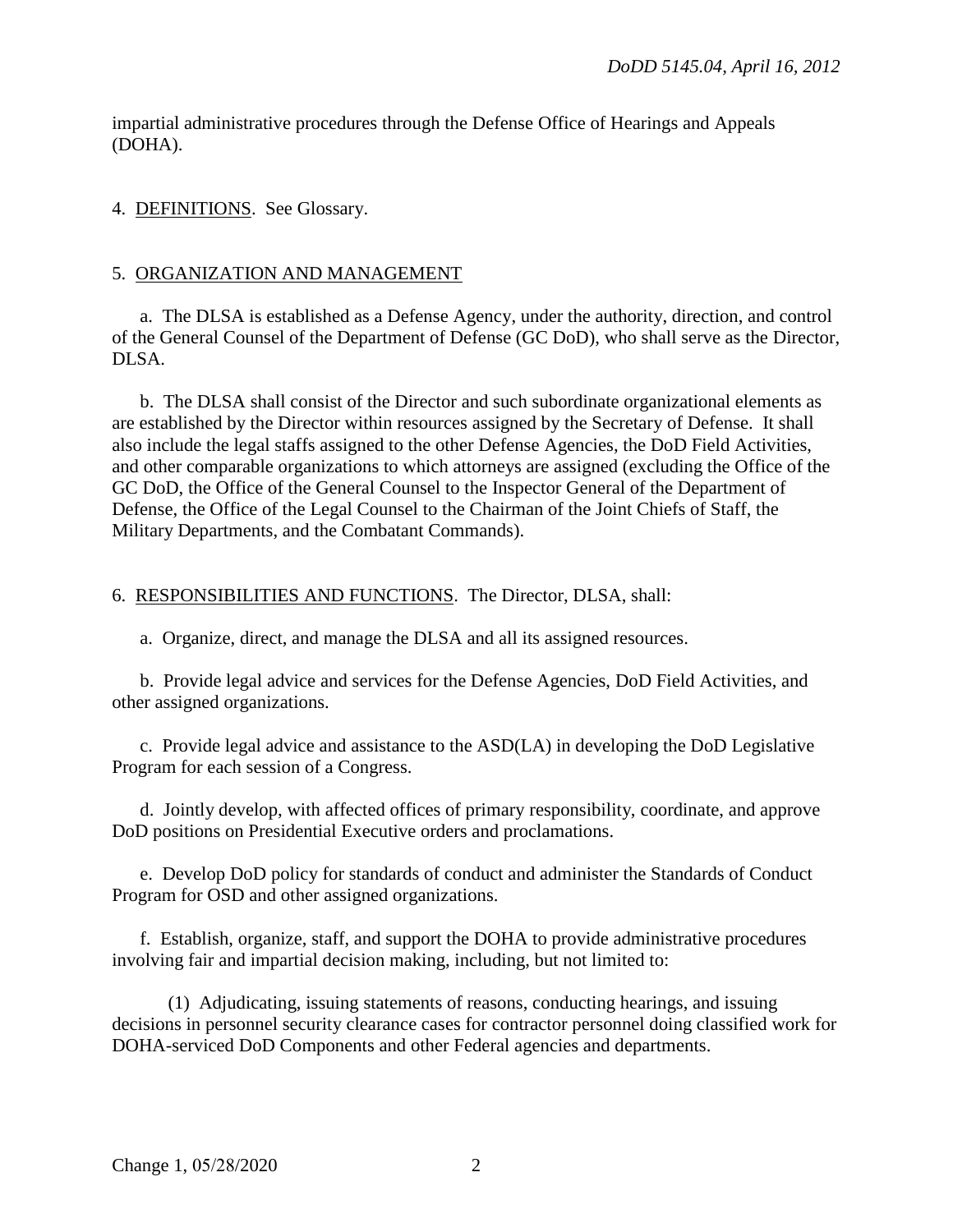impartial administrative procedures through the Defense Office of Hearings and Appeals (DOHA).

## 4. DEFINITIONS. See Glossary.

## 5. ORGANIZATION AND MANAGEMENT

a. The DLSA is established as a Defense Agency, under the authority, direction, and control of the General Counsel of the Department of Defense (GC DoD), who shall serve as the Director, DLSA.

b. The DLSA shall consist of the Director and such subordinate organizational elements as are established by the Director within resources assigned by the Secretary of Defense. It shall also include the legal staffs assigned to the other Defense Agencies, the DoD Field Activities, and other comparable organizations to which attorneys are assigned (excluding the Office of the GC DoD, the Office of the General Counsel to the Inspector General of the Department of Defense, the Office of the Legal Counsel to the Chairman of the Joint Chiefs of Staff, the Military Departments, and the Combatant Commands).

# 6. RESPONSIBILITIES AND FUNCTIONS. The Director, DLSA, shall:

a. Organize, direct, and manage the DLSA and all its assigned resources.

b. Provide legal advice and services for the Defense Agencies, DoD Field Activities, and other assigned organizations.

c. Provide legal advice and assistance to the ASD(LA) in developing the DoD Legislative Program for each session of a Congress.

d. Jointly develop, with affected offices of primary responsibility, coordinate, and approve DoD positions on Presidential Executive orders and proclamations.

e. Develop DoD policy for standards of conduct and administer the Standards of Conduct Program for OSD and other assigned organizations.

f. Establish, organize, staff, and support the DOHA to provide administrative procedures involving fair and impartial decision making, including, but not limited to:

(1) Adjudicating, issuing statements of reasons, conducting hearings, and issuing decisions in personnel security clearance cases for contractor personnel doing classified work for DOHA-serviced DoD Components and other Federal agencies and departments.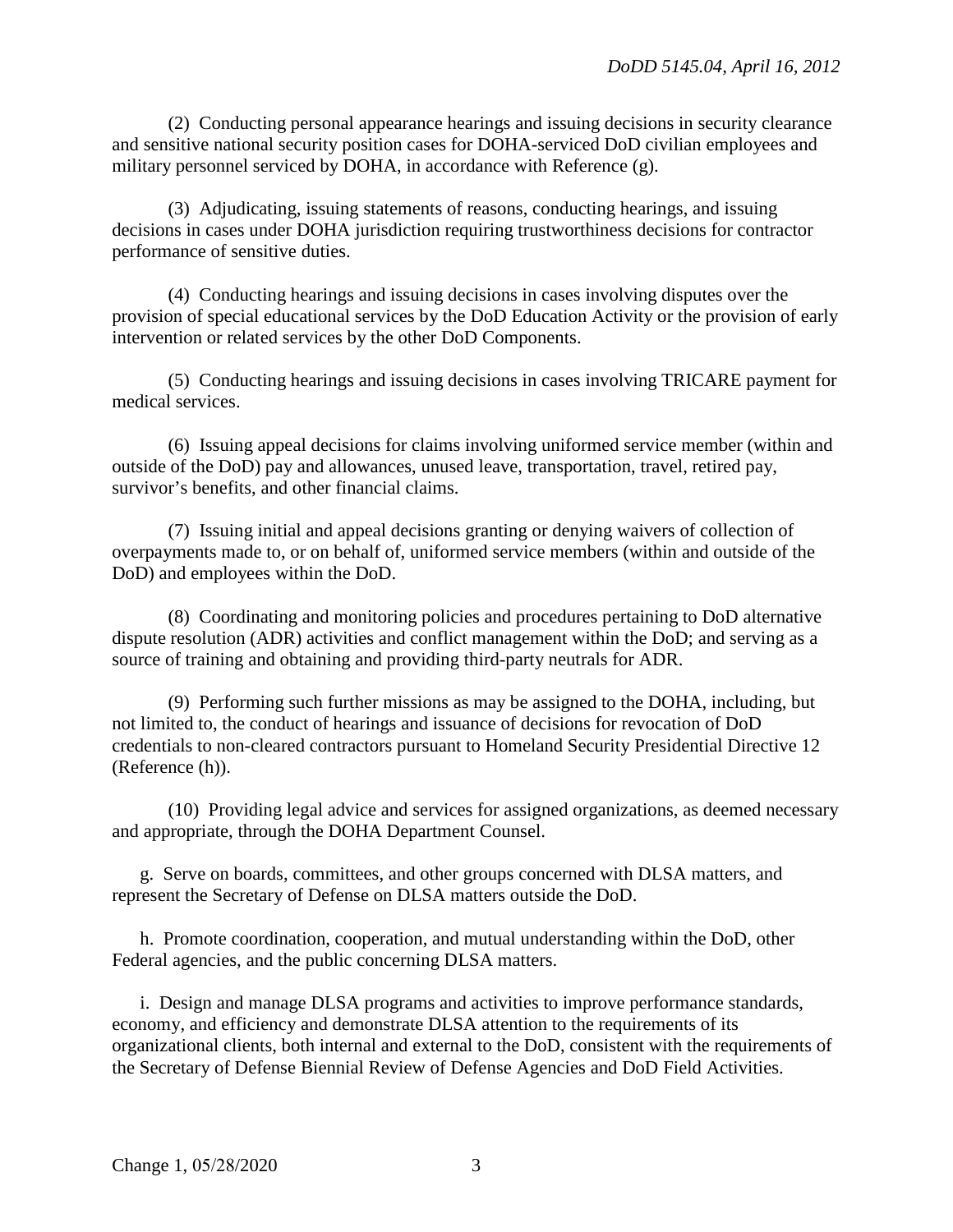(2) Conducting personal appearance hearings and issuing decisions in security clearance and sensitive national security position cases for DOHA-serviced DoD civilian employees and military personnel serviced by DOHA, in accordance with Reference (g).

(3) Adjudicating, issuing statements of reasons, conducting hearings, and issuing decisions in cases under DOHA jurisdiction requiring trustworthiness decisions for contractor performance of sensitive duties.

(4) Conducting hearings and issuing decisions in cases involving disputes over the provision of special educational services by the DoD Education Activity or the provision of early intervention or related services by the other DoD Components.

(5) Conducting hearings and issuing decisions in cases involving TRICARE payment for medical services.

(6) Issuing appeal decisions for claims involving uniformed service member (within and outside of the DoD) pay and allowances, unused leave, transportation, travel, retired pay, survivor's benefits, and other financial claims.

(7) Issuing initial and appeal decisions granting or denying waivers of collection of overpayments made to, or on behalf of, uniformed service members (within and outside of the DoD) and employees within the DoD.

(8) Coordinating and monitoring policies and procedures pertaining to DoD alternative dispute resolution (ADR) activities and conflict management within the DoD; and serving as a source of training and obtaining and providing third-party neutrals for ADR.

(9) Performing such further missions as may be assigned to the DOHA, including, but not limited to, the conduct of hearings and issuance of decisions for revocation of DoD credentials to non-cleared contractors pursuant to Homeland Security Presidential Directive 12 (Reference (h)).

(10) Providing legal advice and services for assigned organizations, as deemed necessary and appropriate, through the DOHA Department Counsel.

g. Serve on boards, committees, and other groups concerned with DLSA matters, and represent the Secretary of Defense on DLSA matters outside the DoD.

h. Promote coordination, cooperation, and mutual understanding within the DoD, other Federal agencies, and the public concerning DLSA matters.

i. Design and manage DLSA programs and activities to improve performance standards, economy, and efficiency and demonstrate DLSA attention to the requirements of its organizational clients, both internal and external to the DoD, consistent with the requirements of the Secretary of Defense Biennial Review of Defense Agencies and DoD Field Activities.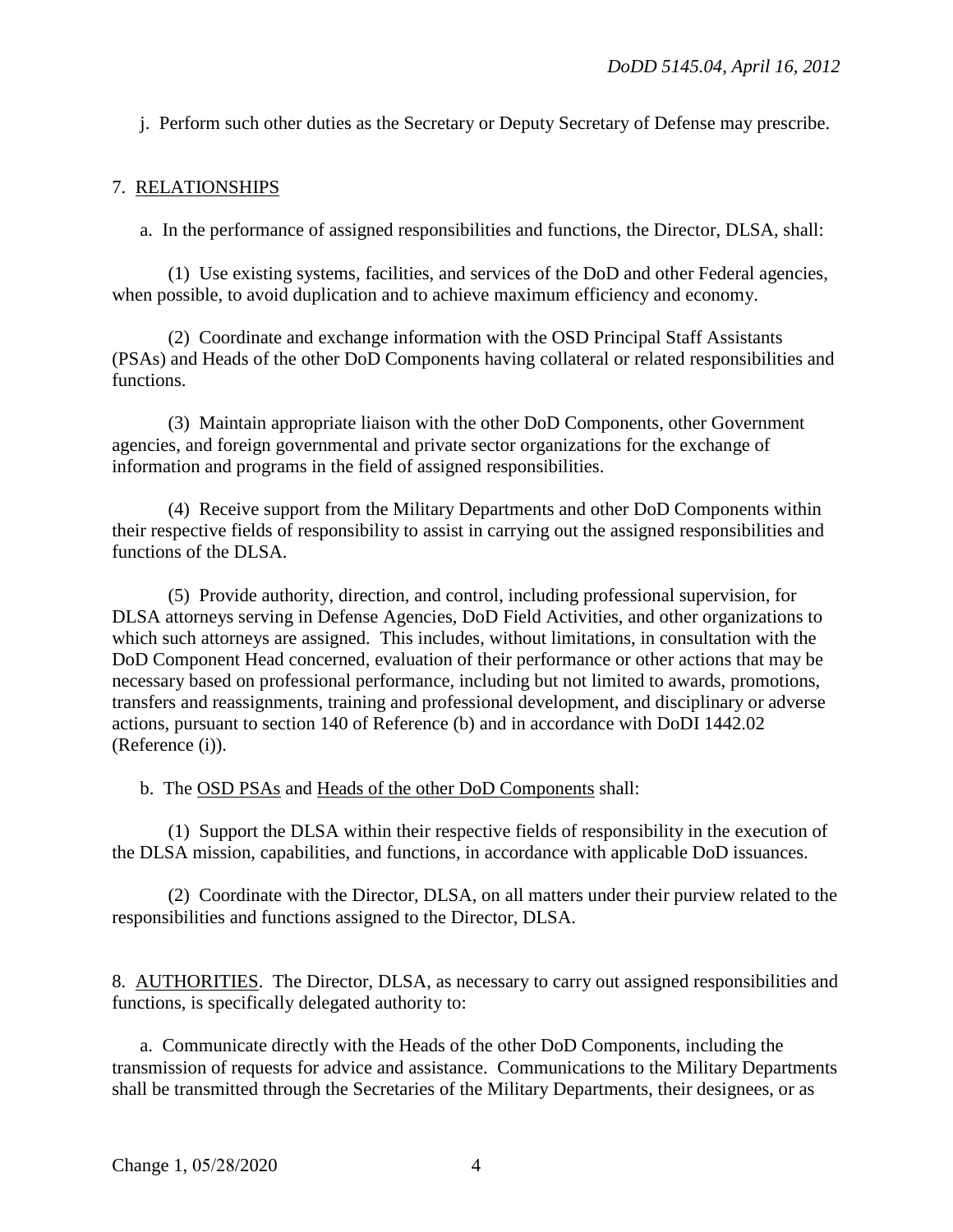j. Perform such other duties as the Secretary or Deputy Secretary of Defense may prescribe.

### 7. RELATIONSHIPS

a. In the performance of assigned responsibilities and functions, the Director, DLSA, shall:

(1) Use existing systems, facilities, and services of the DoD and other Federal agencies, when possible, to avoid duplication and to achieve maximum efficiency and economy.

(2) Coordinate and exchange information with the OSD Principal Staff Assistants (PSAs) and Heads of the other DoD Components having collateral or related responsibilities and functions.

(3) Maintain appropriate liaison with the other DoD Components, other Government agencies, and foreign governmental and private sector organizations for the exchange of information and programs in the field of assigned responsibilities.

(4) Receive support from the Military Departments and other DoD Components within their respective fields of responsibility to assist in carrying out the assigned responsibilities and functions of the DLSA.

(5) Provide authority, direction, and control, including professional supervision, for DLSA attorneys serving in Defense Agencies, DoD Field Activities, and other organizations to which such attorneys are assigned. This includes, without limitations, in consultation with the DoD Component Head concerned, evaluation of their performance or other actions that may be necessary based on professional performance, including but not limited to awards, promotions, transfers and reassignments, training and professional development, and disciplinary or adverse actions, pursuant to section 140 of Reference (b) and in accordance with DoDI 1442.02 (Reference (i)).

b. The OSD PSAs and Heads of the other DoD Components shall:

(1) Support the DLSA within their respective fields of responsibility in the execution of the DLSA mission, capabilities, and functions, in accordance with applicable DoD issuances.

(2) Coordinate with the Director, DLSA, on all matters under their purview related to the responsibilities and functions assigned to the Director, DLSA.

8. AUTHORITIES. The Director, DLSA, as necessary to carry out assigned responsibilities and functions, is specifically delegated authority to:

a. Communicate directly with the Heads of the other DoD Components, including the transmission of requests for advice and assistance. Communications to the Military Departments shall be transmitted through the Secretaries of the Military Departments, their designees, or as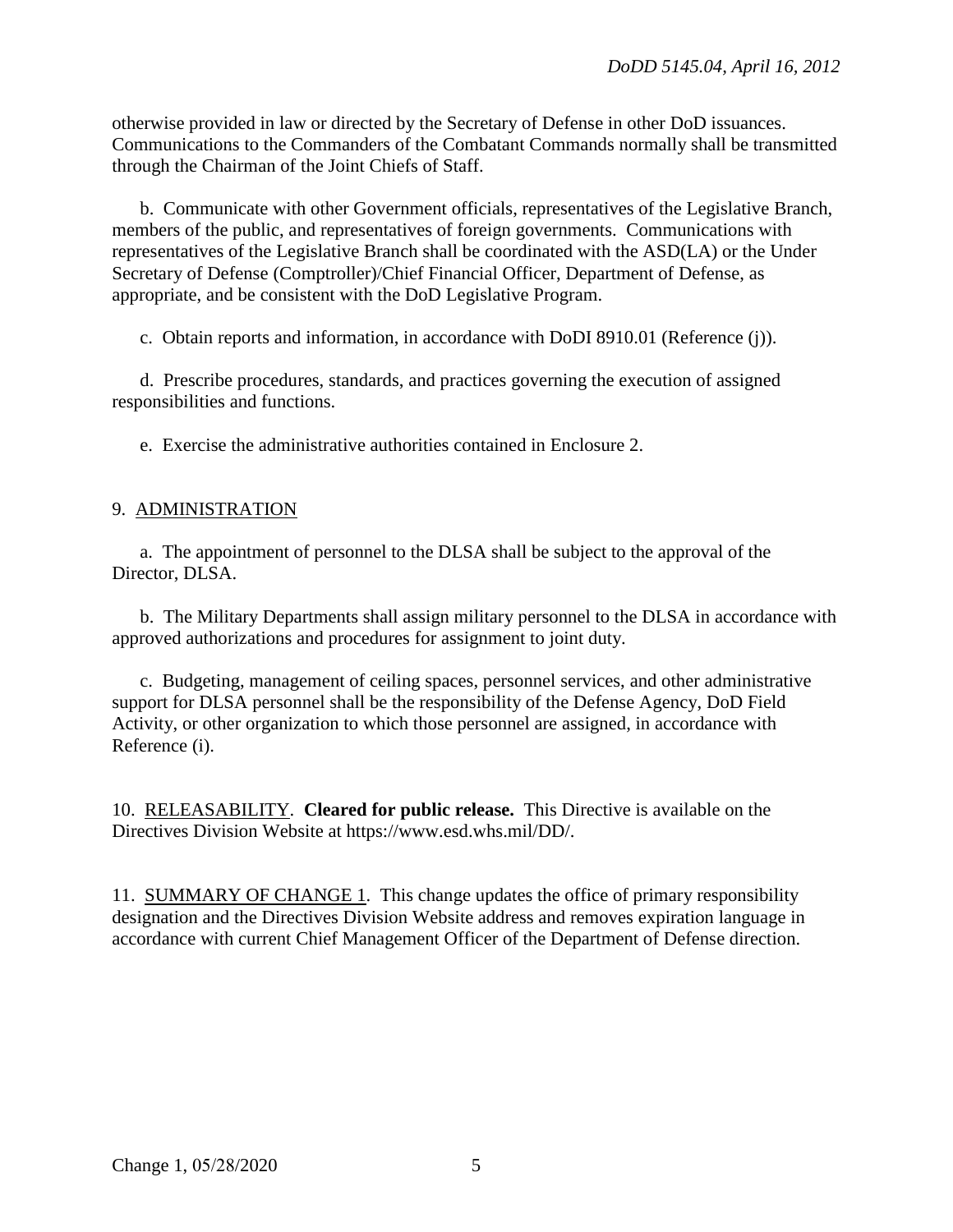otherwise provided in law or directed by the Secretary of Defense in other DoD issuances. Communications to the Commanders of the Combatant Commands normally shall be transmitted through the Chairman of the Joint Chiefs of Staff.

b. Communicate with other Government officials, representatives of the Legislative Branch, members of the public, and representatives of foreign governments. Communications with representatives of the Legislative Branch shall be coordinated with the ASD(LA) or the Under Secretary of Defense (Comptroller)/Chief Financial Officer, Department of Defense, as appropriate, and be consistent with the DoD Legislative Program.

c. Obtain reports and information, in accordance with DoDI 8910.01 (Reference (j)).

d. Prescribe procedures, standards, and practices governing the execution of assigned responsibilities and functions.

e. Exercise the administrative authorities contained in Enclosure 2.

#### 9. ADMINISTRATION

a. The appointment of personnel to the DLSA shall be subject to the approval of the Director, DLSA.

b. The Military Departments shall assign military personnel to the DLSA in accordance with approved authorizations and procedures for assignment to joint duty.

c. Budgeting, management of ceiling spaces, personnel services, and other administrative support for DLSA personnel shall be the responsibility of the Defense Agency, DoD Field Activity, or other organization to which those personnel are assigned, in accordance with Reference (i).

10. RELEASABILITY. **Cleared for public release.** This Directive is available on the Directives Division Website at https://www.esd.whs.mil/DD/.

11. SUMMARY OF CHANGE 1. This change updates the office of primary responsibility designation and the Directives Division Website address and removes expiration language in accordance with current Chief Management Officer of the Department of Defense direction.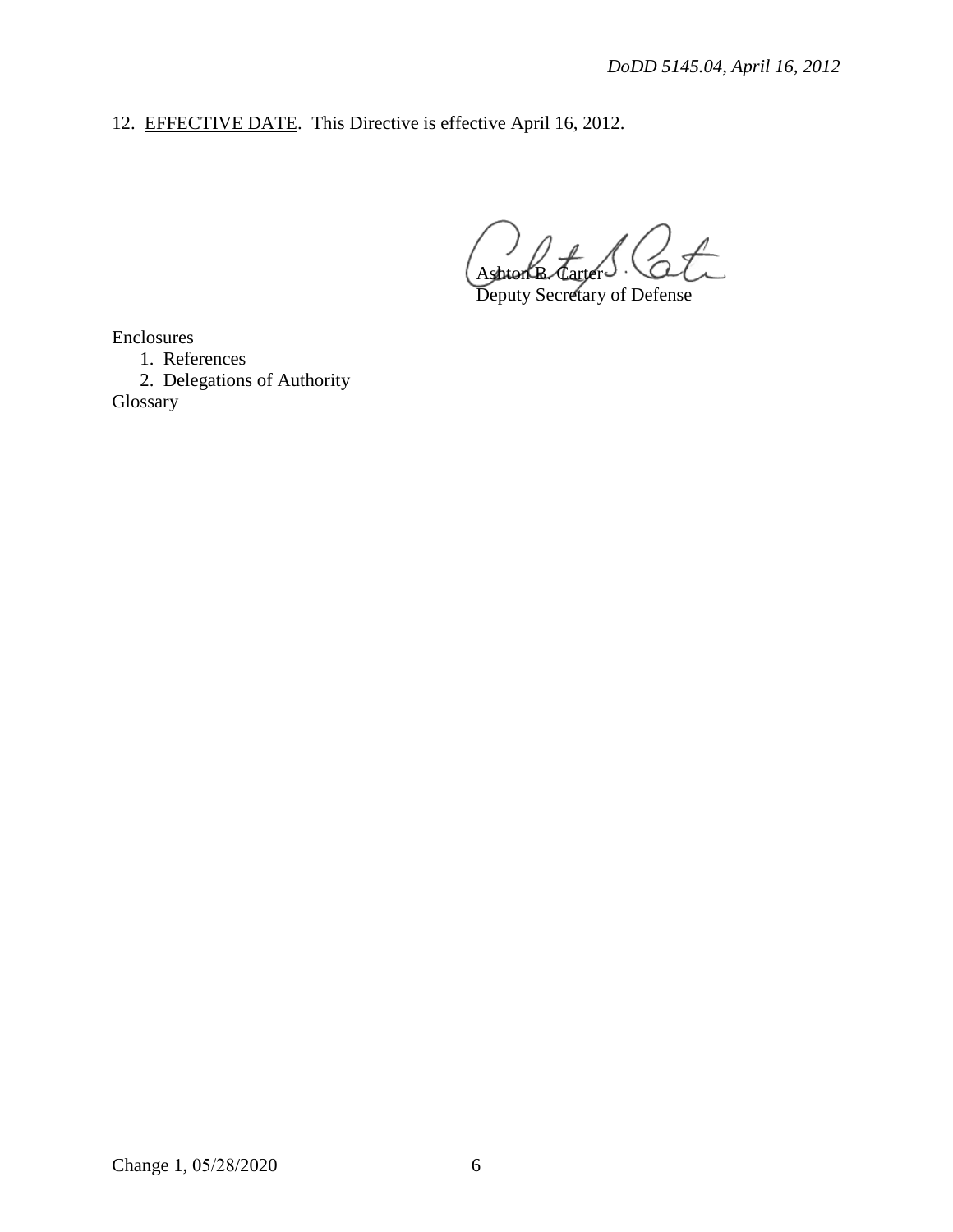12. **EFFECTIVE DATE**. This Directive is effective April 16, 2012.

 $\frac{1}{\sqrt{1-\frac{1}{2}}}$ Ashte

Deputy Secretary of Defense

Enclosures

1. References

2. Delegations of Authority

Glossary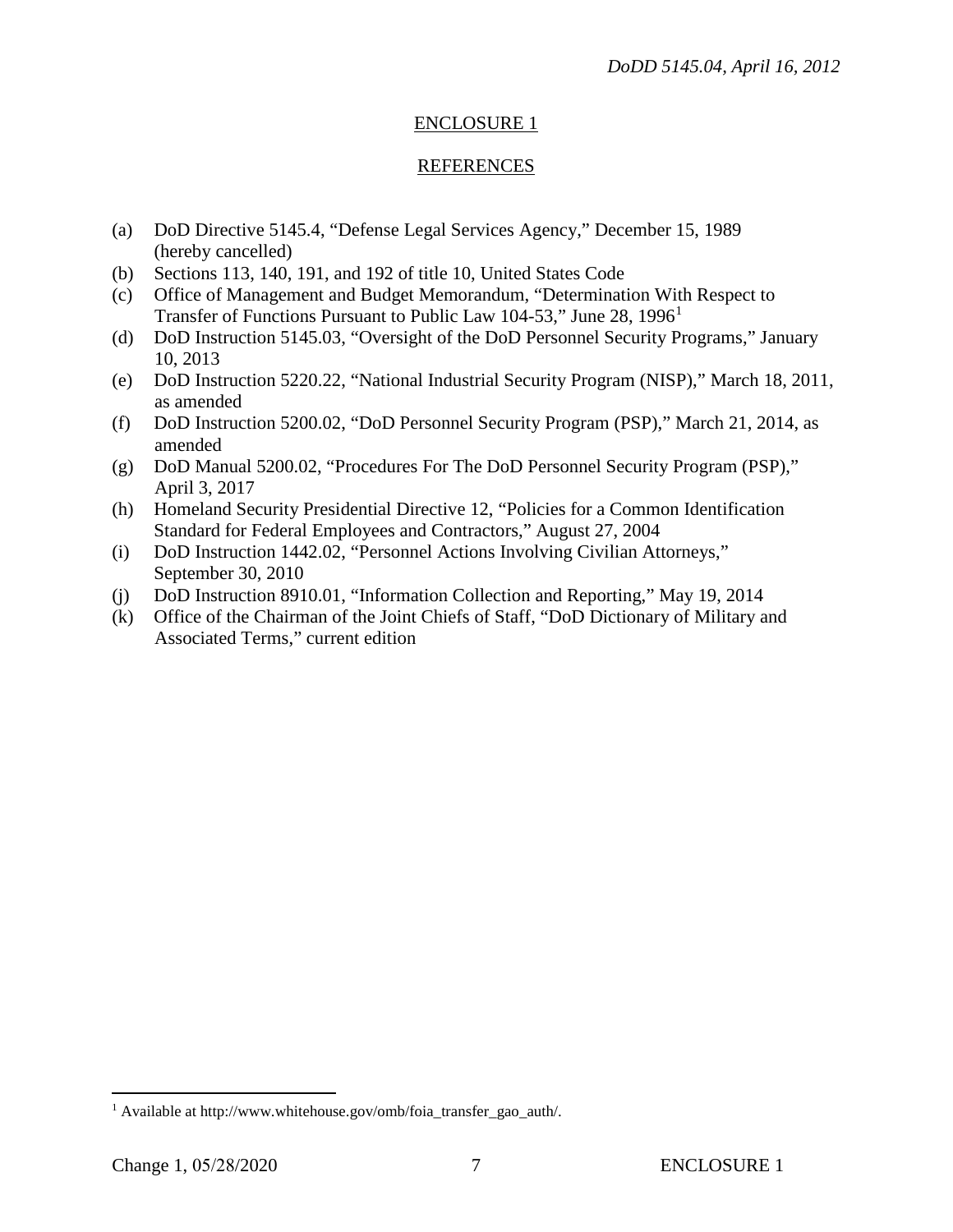# ENCLOSURE 1

### **REFERENCES**

- (a) DoD Directive 5145.4, "Defense Legal Services Agency," December 15, 1989 (hereby cancelled)
- (b) Sections 113, 140, 191, and 192 of title 10, United States Code
- (c) Office of Management and Budget Memorandum, "Determination With Respect to Transfer of Functions Pursuant to Public Law [1](#page-6-0)04-53," June 28, 1996<sup>1</sup>
- (d) DoD Instruction 5145.03, "Oversight of the DoD Personnel Security Programs," January 10, 2013
- (e) DoD Instruction 5220.22, "National Industrial Security Program (NISP)," March 18, 2011, as amended
- (f) DoD Instruction 5200.02, "DoD Personnel Security Program (PSP)," March 21, 2014, as amended
- (g) DoD Manual 5200.02, "Procedures For The DoD Personnel Security Program (PSP)," April 3, 2017
- (h) Homeland Security Presidential Directive 12, "Policies for a Common Identification Standard for Federal Employees and Contractors," August 27, 2004
- (i) DoD Instruction 1442.02, "Personnel Actions Involving Civilian Attorneys," September 30, 2010
- (j) DoD Instruction 8910.01, "Information Collection and Reporting," May 19, 2014
- (k) Office of the Chairman of the Joint Chiefs of Staff, "DoD Dictionary of Military and Associated Terms," current edition

<span id="page-6-0"></span><sup>&</sup>lt;sup>1</sup> Available at http://www.whitehouse.gov/omb/foia\_transfer\_gao\_auth/.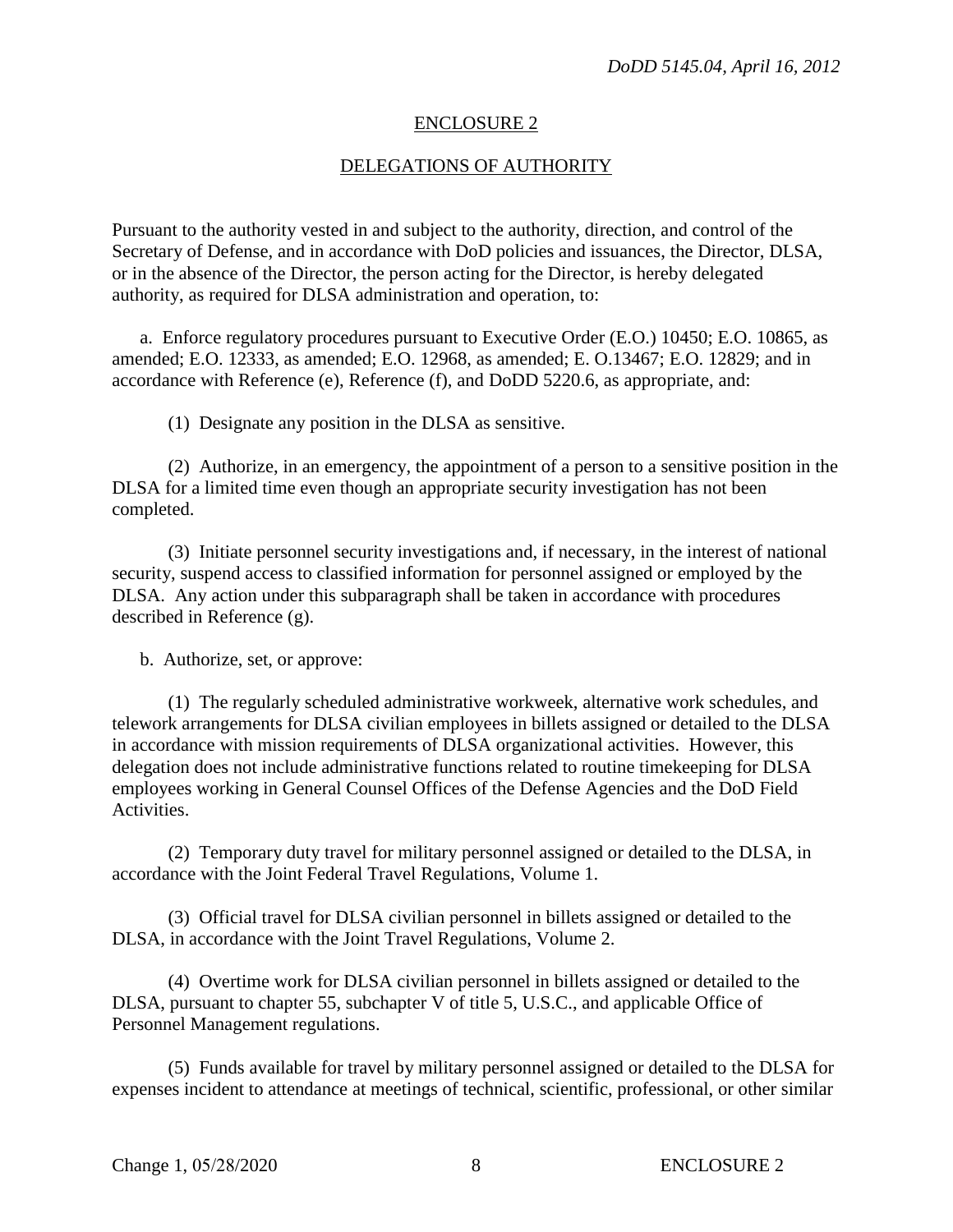#### ENCLOSURE 2

#### DELEGATIONS OF AUTHORITY

Pursuant to the authority vested in and subject to the authority, direction, and control of the Secretary of Defense, and in accordance with DoD policies and issuances, the Director, DLSA, or in the absence of the Director, the person acting for the Director, is hereby delegated authority, as required for DLSA administration and operation, to:

a. Enforce regulatory procedures pursuant to Executive Order (E.O.) 10450; E.O. 10865, as amended; E.O. 12333, as amended; E.O. 12968, as amended; E. O.13467; E.O. 12829; and in accordance with Reference (e), Reference (f), and DoDD 5220.6, as appropriate, and:

(1) Designate any position in the DLSA as sensitive.

(2) Authorize, in an emergency, the appointment of a person to a sensitive position in the DLSA for a limited time even though an appropriate security investigation has not been completed.

(3) Initiate personnel security investigations and, if necessary, in the interest of national security, suspend access to classified information for personnel assigned or employed by the DLSA. Any action under this subparagraph shall be taken in accordance with procedures described in Reference (g).

b. Authorize, set, or approve:

(1) The regularly scheduled administrative workweek, alternative work schedules, and telework arrangements for DLSA civilian employees in billets assigned or detailed to the DLSA in accordance with mission requirements of DLSA organizational activities. However, this delegation does not include administrative functions related to routine timekeeping for DLSA employees working in General Counsel Offices of the Defense Agencies and the DoD Field Activities.

(2) Temporary duty travel for military personnel assigned or detailed to the DLSA, in accordance with the Joint Federal Travel Regulations, Volume 1.

(3) Official travel for DLSA civilian personnel in billets assigned or detailed to the DLSA, in accordance with the Joint Travel Regulations, Volume 2.

(4) Overtime work for DLSA civilian personnel in billets assigned or detailed to the DLSA, pursuant to chapter 55, subchapter V of title 5, U.S.C., and applicable Office of Personnel Management regulations.

(5) Funds available for travel by military personnel assigned or detailed to the DLSA for expenses incident to attendance at meetings of technical, scientific, professional, or other similar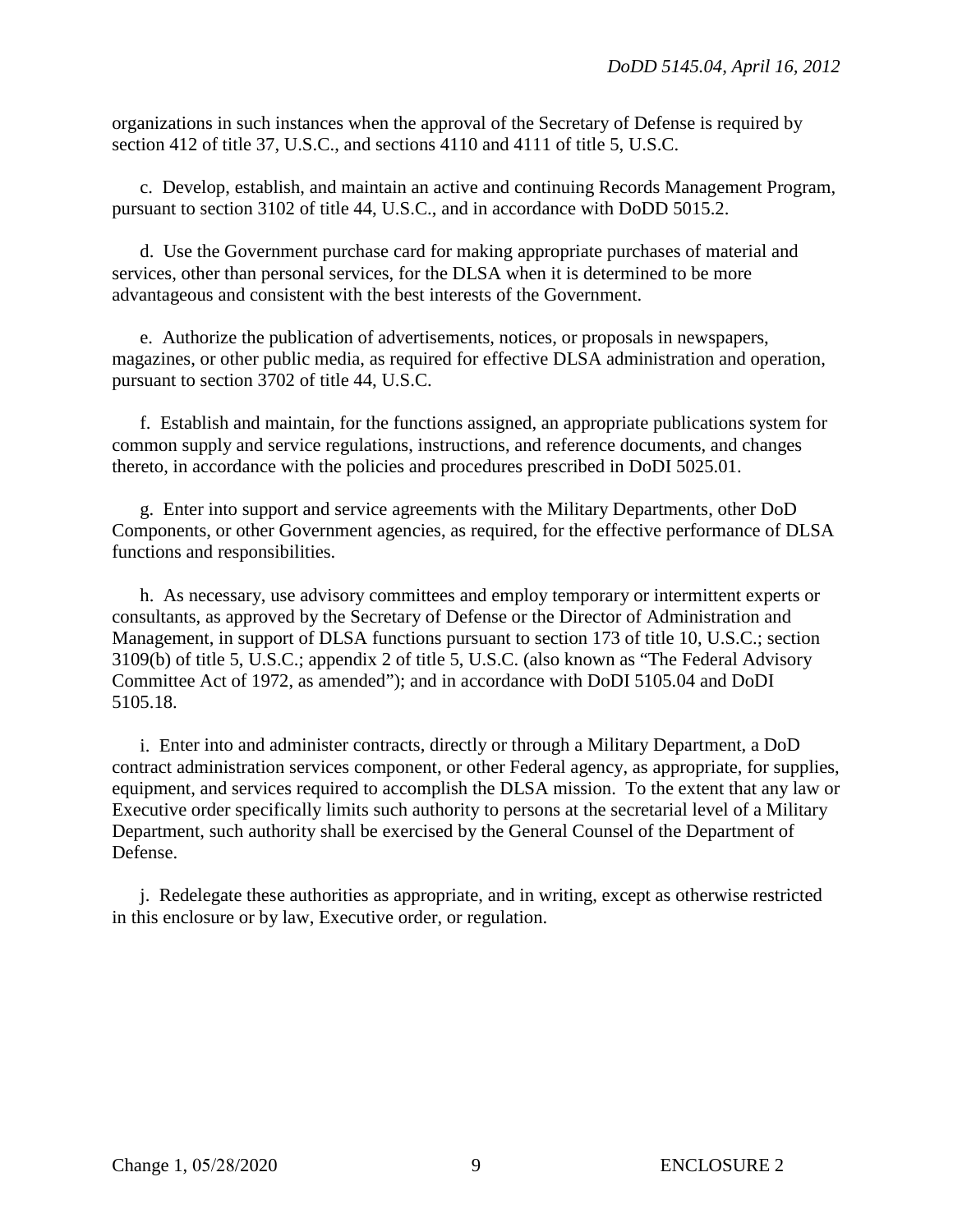organizations in such instances when the approval of the Secretary of Defense is required by section 412 of title 37, U.S.C., and sections 4110 and 4111 of title 5, U.S.C.

c. Develop, establish, and maintain an active and continuing Records Management Program, pursuant to section 3102 of title 44, U.S.C., and in accordance with DoDD 5015.2.

d. Use the Government purchase card for making appropriate purchases of material and services, other than personal services, for the DLSA when it is determined to be more advantageous and consistent with the best interests of the Government.

e. Authorize the publication of advertisements, notices, or proposals in newspapers, magazines, or other public media, as required for effective DLSA administration and operation, pursuant to section 3702 of title 44, U.S.C.

f. Establish and maintain, for the functions assigned, an appropriate publications system for common supply and service regulations, instructions, and reference documents, and changes thereto, in accordance with the policies and procedures prescribed in DoDI 5025.01.

g. Enter into support and service agreements with the Military Departments, other DoD Components, or other Government agencies, as required, for the effective performance of DLSA functions and responsibilities.

h. As necessary, use advisory committees and employ temporary or intermittent experts or consultants, as approved by the Secretary of Defense or the Director of Administration and Management, in support of DLSA functions pursuant to section 173 of title 10, U.S.C.; section 3109(b) of title 5, U.S.C.; appendix 2 of title 5, U.S.C. (also known as "The Federal Advisory Committee Act of 1972, as amended"); and in accordance with DoDI 5105.04 and DoDI 5105.18.

i. Enter into and administer contracts, directly or through a Military Department, a DoD contract administration services component, or other Federal agency, as appropriate, for supplies, equipment, and services required to accomplish the DLSA mission. To the extent that any law or Executive order specifically limits such authority to persons at the secretarial level of a Military Department, such authority shall be exercised by the General Counsel of the Department of Defense.

j. Redelegate these authorities as appropriate, and in writing, except as otherwise restricted in this enclosure or by law, Executive order, or regulation.